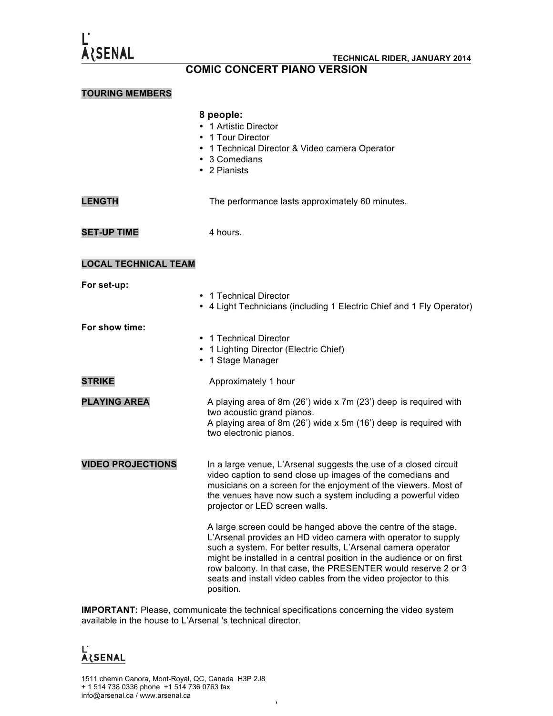

## **COMIC CONCERT PIANO VERSION**

#### **TOURING MEMBERS**

|                             | 8 people:<br>1 Artistic Director<br>1 Tour Director<br>1 Technical Director & Video camera Operator<br>3 Comedians<br>• 2 Pianists                                                                                                                                                                                                                                                                                      |
|-----------------------------|-------------------------------------------------------------------------------------------------------------------------------------------------------------------------------------------------------------------------------------------------------------------------------------------------------------------------------------------------------------------------------------------------------------------------|
| <b>LENGTH</b>               | The performance lasts approximately 60 minutes.                                                                                                                                                                                                                                                                                                                                                                         |
| <b>SET-UP TIME</b>          | 4 hours.                                                                                                                                                                                                                                                                                                                                                                                                                |
| <b>LOCAL TECHNICAL TEAM</b> |                                                                                                                                                                                                                                                                                                                                                                                                                         |
| For set-up:                 | • 1 Technical Director<br>• 4 Light Technicians (including 1 Electric Chief and 1 Fly Operator)                                                                                                                                                                                                                                                                                                                         |
| For show time:              | 1 Technical Director<br>٠<br>1 Lighting Director (Electric Chief)<br>1 Stage Manager                                                                                                                                                                                                                                                                                                                                    |
| <b>STRIKE</b>               | Approximately 1 hour                                                                                                                                                                                                                                                                                                                                                                                                    |
| <b>PLAYING AREA</b>         | A playing area of 8m (26') wide x 7m (23') deep is required with<br>two acoustic grand pianos.<br>A playing area of 8m (26') wide x 5m (16') deep is required with<br>two electronic pianos.                                                                                                                                                                                                                            |
| <b>VIDEO PROJECTIONS</b>    | In a large venue, L'Arsenal suggests the use of a closed circuit<br>video caption to send close up images of the comedians and<br>musicians on a screen for the enjoyment of the viewers. Most of<br>the venues have now such a system including a powerful video<br>projector or LED screen walls.                                                                                                                     |
|                             | A large screen could be hanged above the centre of the stage.<br>L'Arsenal provides an HD video camera with operator to supply<br>such a system. For better results, L'Arsenal camera operator<br>might be installed in a central position in the audience or on first<br>row balcony. In that case, the PRESENTER would reserve 2 or 3<br>seats and install video cables from the video projector to this<br>position. |

**IMPORTANT:** Please, communicate the technical specifications concerning the video system available in the house to L'Arsenal 's technical director.

# L'<br><u>Alsenal</u>

1511 chemin Canora, Mont-Royal, QC, Canada H3P 2J8 + 1 514 738 0336 phone +1 514 736 0763 fax info@arsenal.ca / www.arsenal.ca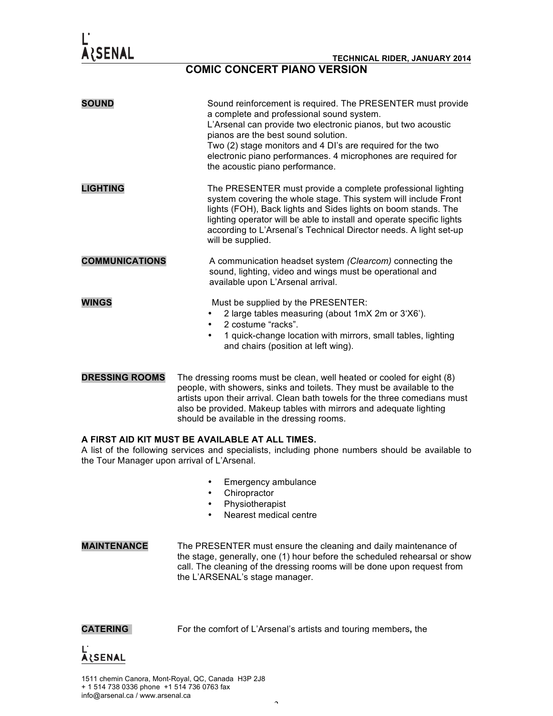### **COMIC CONCERT PIANO VERSION**

| <b>SOUND</b>          | Sound reinforcement is required. The PRESENTER must provide<br>a complete and professional sound system.<br>L'Arsenal can provide two electronic pianos, but two acoustic<br>pianos are the best sound solution.<br>Two (2) stage monitors and 4 DI's are required for the two<br>electronic piano performances. 4 microphones are required for<br>the acoustic piano performance. |
|-----------------------|------------------------------------------------------------------------------------------------------------------------------------------------------------------------------------------------------------------------------------------------------------------------------------------------------------------------------------------------------------------------------------|
| <b>LIGHTING</b>       | The PRESENTER must provide a complete professional lighting<br>system covering the whole stage. This system will include Front<br>lights (FOH), Back lights and Sides lights on boom stands. The<br>lighting operator will be able to install and operate specific lights<br>according to L'Arsenal's Technical Director needs. A light set-up<br>will be supplied.                |
| <b>COMMUNICATIONS</b> | A communication headset system (Clearcom) connecting the<br>sound, lighting, video and wings must be operational and<br>available upon L'Arsenal arrival.                                                                                                                                                                                                                          |
| <b>WINGS</b>          | Must be supplied by the PRESENTER:<br>2 large tables measuring (about 1mX 2m or 3'X6').<br>2 costume "racks".<br>$\bullet$<br>1 quick-change location with mirrors, small tables, lighting<br>٠<br>and chairs (position at left wing).                                                                                                                                             |

**DRESSING ROOMS** The dressing rooms must be clean, well heated or cooled for eight (8) people, with showers, sinks and toilets. They must be available to the artists upon their arrival. Clean bath towels for the three comedians must also be provided. Makeup tables with mirrors and adequate lighting should be available in the dressing rooms.

#### **A FIRST AID KIT MUST BE AVAILABLE AT ALL TIMES.**

A list of the following services and specialists, including phone numbers should be available to the Tour Manager upon arrival of L'Arsenal.

- Emergency ambulance
- Chiropractor
- **Physiotherapist**
- Nearest medical centre
- **MAINTENANCE** The PRESENTER must ensure the cleaning and daily maintenance of the stage, generally, one (1) hour before the scheduled rehearsal or show call. The cleaning of the dressing rooms will be done upon request from the L'ARSENAL's stage manager.

**CATERING** For the comfort of L'Arsenal's artists and touring members**,** the



1511 chemin Canora, Mont-Royal, QC, Canada H3P 2J8 + 1 514 738 0336 phone +1 514 736 0763 fax info@arsenal.ca / www.arsenal.ca